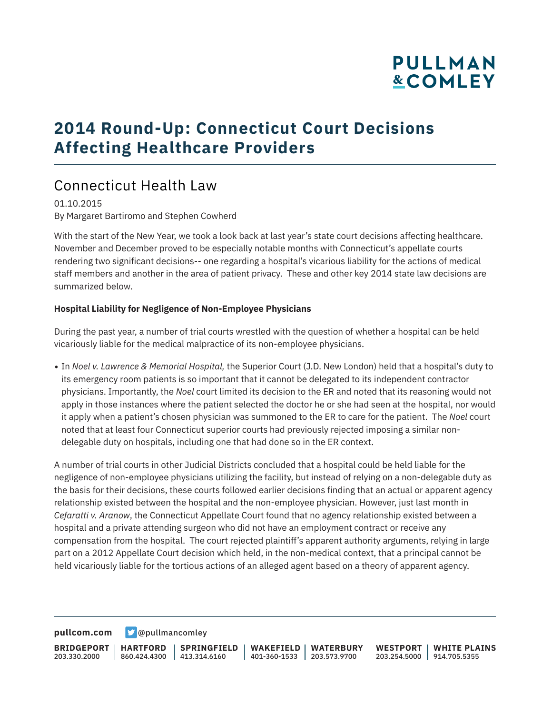# **PULLMAN &COMLEY**

# **2014 Round-Up: Connecticut Court Decisions Affecting Healthcare Providers**

## Connecticut Health Law

01.10.2015 By Margaret Bartiromo and Stephen Cowherd

With the start of the New Year, we took a look back at last year's state court decisions affecting healthcare. November and December proved to be especially notable months with Connecticut's appellate courts rendering two significant decisions-- one regarding a hospital's vicarious liability for the actions of medical staff members and another in the area of patient privacy. These and other key 2014 state law decisions are summarized below.

#### **Hospital Liability for Negligence of Non-Employee Physicians**

During the past year, a number of trial courts wrestled with the question of whether a hospital can be held vicariously liable for the medical malpractice of its non-employee physicians.

● In *Noel v. Lawrence & Memorial Hospital,* the Superior Court (J.D. New London) held that a hospital's duty to its emergency room patients is so important that it cannot be delegated to its independent contractor physicians. Importantly, the *Noel* court limited its decision to the ER and noted that its reasoning would not apply in those instances where the patient selected the doctor he or she had seen at the hospital, nor would it apply when a patient's chosen physician was summoned to the ER to care for the patient. The *Noel* court noted that at least four Connecticut superior courts had previously rejected imposing a similar nondelegable duty on hospitals, including one that had done so in the ER context.

A number of trial courts in other Judicial Districts concluded that a hospital could be held liable for the negligence of non-employee physicians utilizing the facility, but instead of relying on a non-delegable duty as the basis for their decisions, these courts followed earlier decisions finding that an actual or apparent agency relationship existed between the hospital and the non-employee physician. However, just last month in *Cefaratti v. Aranow*, the Connecticut Appellate Court found that no agency relationship existed between a hospital and a private attending surgeon who did not have an employment contract or receive any compensation from the hospital. The court rejected plaintiff's apparent authority arguments, relying in large part on a 2012 Appellate Court decision which held, in the non-medical context, that a principal cannot be held vicariously liable for the tortious actions of an alleged agent based on a theory of apparent agency.

**[pullcom.com](https://www.pullcom.com) g** [@pullmancomley](https://twitter.com/PullmanComley)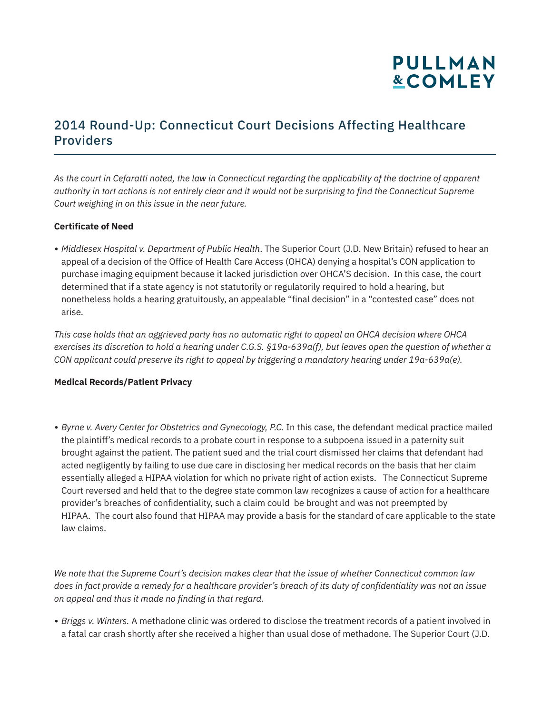

*As the court in Cefaratti noted, the law in Connecticut regarding the applicability of the doctrine of apparent authority in tort actions is not entirely clear and it would not be surprising to find the Connecticut Supreme Court weighing in on this issue in the near future.*

#### **Certificate of Need**

● *Middlesex Hospital v. Department of Public Health*. The Superior Court (J.D. New Britain) refused to hear an appeal of a decision of the Office of Health Care Access (OHCA) denying a hospital's CON application to purchase imaging equipment because it lacked jurisdiction over OHCA'S decision. In this case, the court determined that if a state agency is not statutorily or regulatorily required to hold a hearing, but nonetheless holds a hearing gratuitously, an appealable "final decision" in a "contested case" does not arise.

*This case holds that an aggrieved party has no automatic right to appeal an OHCA decision where OHCA exercises its discretion to hold a hearing under C.G.S. §19a-639a(f), but leaves open the question of whether a CON applicant could preserve its right to appeal by triggering a mandatory hearing under 19a-639a(e).* 

#### **Medical Records/Patient Privacy**

● *Byrne v. Avery Center for Obstetrics and Gynecology, P.C.* In this case, the defendant medical practice mailed the plaintiff's medical records to a probate court in response to a subpoena issued in a paternity suit brought against the patient. The patient sued and the trial court dismissed her claims that defendant had acted negligently by failing to use due care in disclosing her medical records on the basis that her claim essentially alleged a HIPAA violation for which no private right of action exists. The Connecticut Supreme Court reversed and held that to the degree state common law recognizes a cause of action for a healthcare provider's breaches of confidentiality, such a claim could be brought and was not preempted by HIPAA. The court also found that HIPAA may provide a basis for the standard of care applicable to the state law claims.

*We note that the Supreme Court's decision makes clear that the issue of whether Connecticut common law does in fact provide a remedy for a healthcare provider's breach of its duty of confidentiality was not an issue on appeal and thus it made no finding in that regard.*

● *Briggs v. Winters.* A methadone clinic was ordered to disclose the treatment records of a patient involved in a fatal car crash shortly after she received a higher than usual dose of methadone. The Superior Court (J.D.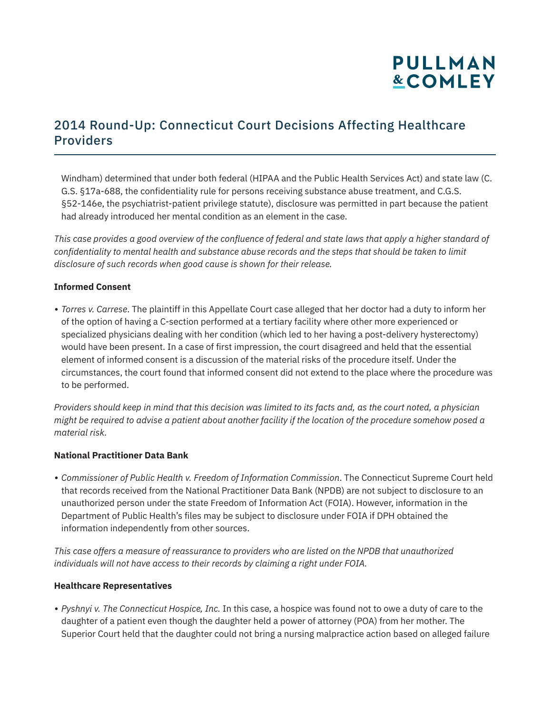

Windham) determined that under both federal (HIPAA and the Public Health Services Act) and state law (C. G.S. §17a-688, the confidentiality rule for persons receiving substance abuse treatment, and C.G.S. §52-146e, the psychiatrist-patient privilege statute), disclosure was permitted in part because the patient had already introduced her mental condition as an element in the case.

*This case provides a good overview of the confluence of federal and state laws that apply a higher standard of confidentiality to mental health and substance abuse records and the steps that should be taken to limit disclosure of such records when good cause is shown for their release.*

#### **Informed Consent**

● *Torres v. Carrese*. The plaintiff in this Appellate Court case alleged that her doctor had a duty to inform her of the option of having a C-section performed at a tertiary facility where other more experienced or specialized physicians dealing with her condition (which led to her having a post-delivery hysterectomy) would have been present. In a case of first impression, the court disagreed and held that the essential element of informed consent is a discussion of the material risks of the procedure itself. Under the circumstances, the court found that informed consent did not extend to the place where the procedure was to be performed.

*Providers should keep in mind that this decision was limited to its facts and, as the court noted, a physician might be required to advise a patient about another facility if the location of the procedure somehow posed a material risk.*

#### **National Practitioner Data Bank**

● *Commissioner of Public Health v. Freedom of Information Commission*. The Connecticut Supreme Court held that records received from the National Practitioner Data Bank (NPDB) are not subject to disclosure to an unauthorized person under the state Freedom of Information Act (FOIA). However, information in the Department of Public Health's files may be subject to disclosure under FOIA if DPH obtained the information independently from other sources.

*This case offers a measure of reassurance to providers who are listed on the NPDB that unauthorized individuals will not have access to their records by claiming a right under FOIA.*

#### **Healthcare Representatives**

● *Pyshnyi v. The Connecticut Hospice, Inc.* In this case, a hospice was found not to owe a duty of care to the daughter of a patient even though the daughter held a power of attorney (POA) from her mother. The Superior Court held that the daughter could not bring a nursing malpractice action based on alleged failure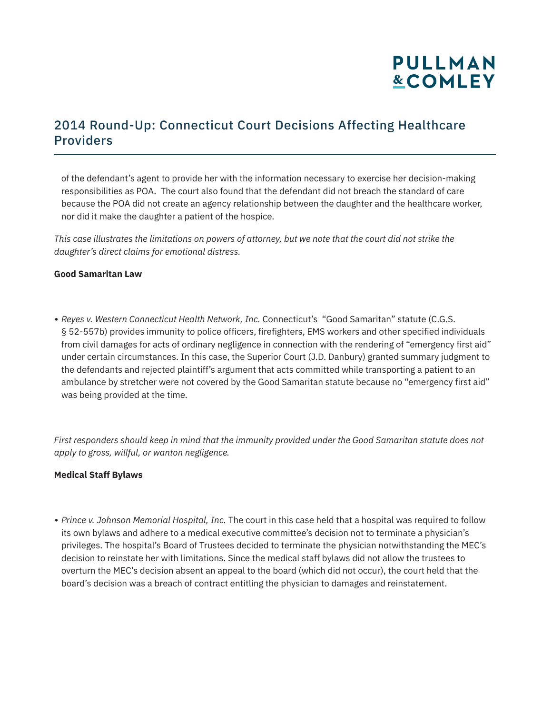

of the defendant's agent to provide her with the information necessary to exercise her decision-making responsibilities as POA. The court also found that the defendant did not breach the standard of care because the POA did not create an agency relationship between the daughter and the healthcare worker, nor did it make the daughter a patient of the hospice.

*This case illustrates the limitations on powers of attorney, but we note that the court did not strike the daughter's direct claims for emotional distress.*

#### **Good Samaritan Law**

● *Reyes v. Western Connecticut Health Network, Inc.* Connecticut's "Good Samaritan" statute (C.G.S. § 52-557b) provides immunity to police officers, firefighters, EMS workers and other specified individuals from civil damages for acts of ordinary negligence in connection with the rendering of "emergency first aid" under certain circumstances. In this case, the Superior Court (J.D. Danbury) granted summary judgment to the defendants and rejected plaintiff's argument that acts committed while transporting a patient to an ambulance by stretcher were not covered by the Good Samaritan statute because no "emergency first aid" was being provided at the time.

*First responders should keep in mind that the immunity provided under the Good Samaritan statute does not apply to gross, willful, or wanton negligence.*

#### **Medical Staff Bylaws**

● *Prince v. Johnson Memorial Hospital, Inc.* The court in this case held that a hospital was required to follow its own bylaws and adhere to a medical executive committee's decision not to terminate a physician's privileges. The hospital's Board of Trustees decided to terminate the physician notwithstanding the MEC's decision to reinstate her with limitations. Since the medical staff bylaws did not allow the trustees to overturn the MEC's decision absent an appeal to the board (which did not occur), the court held that the board's decision was a breach of contract entitling the physician to damages and reinstatement.